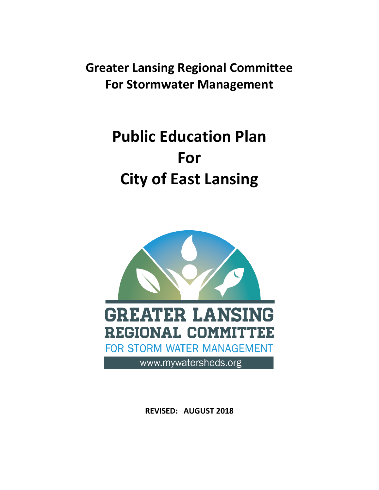**Greater Lansing Regional Committee For Stormwater Management**

# **Public Education Plan For City of East Lansing**



**REVISED: AUGUST 2018**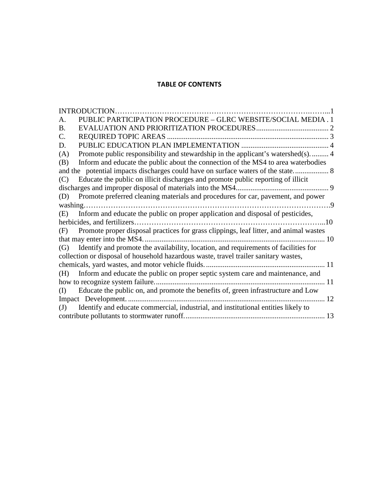#### **TABLE OF CONTENTS**

| <b>INTRODUCTION.</b>                                                                         |    |
|----------------------------------------------------------------------------------------------|----|
| PUBLIC PARTICIPATION PROCEDURE - GLRC WEBSITE/SOCIAL MEDIA . 1<br>А.                         |    |
| <b>B.</b>                                                                                    |    |
| REQUIRED TOPIC AREAS<br>C.                                                                   |    |
| D.                                                                                           |    |
| Promote public responsibility and stewardship in the applicant's watershed(s) 4<br>(A)       |    |
| Inform and educate the public about the connection of the MS4 to area waterbodies<br>(B)     |    |
|                                                                                              |    |
| Educate the public on illicit discharges and promote public reporting of illicit<br>(C)      |    |
| discharges and improper disposal of materials into the MS4                                   |    |
| Promote preferred cleaning materials and procedures for car, pavement, and power<br>(D)      |    |
| $\sim 9$                                                                                     |    |
| Inform and educate the public on proper application and disposal of pesticides,<br>(E)       |    |
| herbicides, and fertilizers.<br>.10                                                          |    |
| Promote proper disposal practices for grass clippings, leaf litter, and animal wastes<br>(F) |    |
| that may enter into the MS4.<br>10                                                           |    |
| Identify and promote the availability, location, and requirements of facilities for<br>(G)   |    |
| collection or disposal of household hazardous waste, travel trailer sanitary wastes,         |    |
|                                                                                              |    |
| Inform and educate the public on proper septic system care and maintenance, and<br>(H)       |    |
| how to recognize system failure.<br>11                                                       |    |
| Educate the public on, and promote the benefits of, green infrastructure and Low<br>(I)      |    |
|                                                                                              | 12 |
| Identify and educate commercial, industrial, and institutional entities likely to<br>(J)     |    |
|                                                                                              | 13 |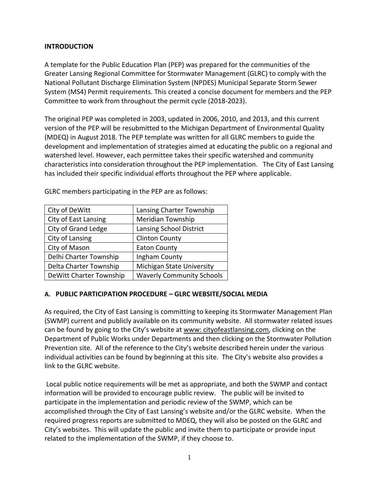#### **INTRODUCTION**

A template for the Public Education Plan (PEP) was prepared for the communities of the Greater Lansing Regional Committee for Stormwater Management (GLRC) to comply with the National Pollutant Discharge Elimination System (NPDES) Municipal Separate Storm Sewer System (MS4) Permit requirements. This created a concise document for members and the PEP Committee to work from throughout the permit cycle (2018-2023).

The original PEP was completed in 2003, updated in 2006, 2010, and 2013, and this current version of the PEP will be resubmitted to the Michigan Department of Environmental Quality (MDEQ) in August 2018. The PEP template was written for all GLRC members to guide the development and implementation of strategies aimed at educating the public on a regional and watershed level. However, each permittee takes their specific watershed and community characteristics into consideration throughout the PEP implementation. The City of East Lansing has included their specific individual efforts throughout the PEP where applicable.

| City of DeWitt          | Lansing Charter Township         |
|-------------------------|----------------------------------|
| City of East Lansing    | <b>Meridian Township</b>         |
| City of Grand Ledge     | Lansing School District          |
| City of Lansing         | <b>Clinton County</b>            |
| City of Mason           | <b>Eaton County</b>              |
| Delhi Charter Township  | Ingham County                    |
| Delta Charter Township  | Michigan State University        |
| DeWitt Charter Township | <b>Waverly Community Schools</b> |

GLRC members participating in the PEP are as follows:

#### **A. PUBLIC PARTICIPATION PROCEDURE – GLRC WEBSITE/SOCIAL MEDIA**

As required, the City of East Lansing is committing to keeping its Stormwater Management Plan (SWMP) current and publicly available on its community website. All stormwater related issues can be found by going to the City's website at www: cityofeastlansing.com, clicking on the Department of Public Works under Departments and then clicking on the Stormwater Pollution Prevention site. All of the reference to the City's website described herein under the various individual activities can be found by beginning at this site. The City's website also provides a link to the GLRC website.

Local public notice requirements will be met as appropriate, and both the SWMP and contact information will be provided to encourage public review. The public will be invited to participate in the implementation and periodic review of the SWMP, which can be accomplished through the City of East Lansing's website and/or the GLRC website. When the required progress reports are submitted to MDEQ, they will also be posted on the GLRC and City's websites. This will update the public and invite them to participate or provide input related to the implementation of the SWMP, if they choose to.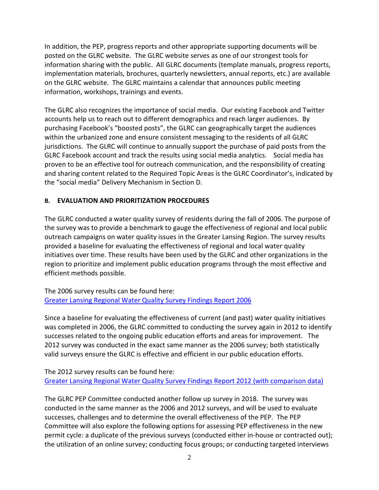In addition, the PEP, progress reports and other appropriate supporting documents will be posted on the GLRC website. The GLRC website serves as one of our strongest tools for information sharing with the public. All GLRC documents (template manuals, progress reports, implementation materials, brochures, quarterly newsletters, annual reports, etc.) are available on the GLRC website. The GLRC maintains a calendar that announces public meeting information, workshops, trainings and events.

The GLRC also recognizes the importance of social media. Our existing Facebook and Twitter accounts help us to reach out to different demographics and reach larger audiences. By purchasing Facebook's "boosted posts", the GLRC can geographically target the audiences within the urbanized zone and ensure consistent messaging to the residents of all GLRC jurisdictions. The GLRC will continue to annually support the purchase of paid posts from the GLRC Facebook account and track the results using social media analytics. Social media has proven to be an effective tool for outreach communication, and the responsibility of creating and sharing content related to the Required Topic Areas is the GLRC Coordinator's, indicated by the "social media" Delivery Mechanism in Section D.

## **B. EVALUATION AND PRIORITIZATION PROCEDURES**

The GLRC conducted a water quality survey of residents during the fall of 2006. The purpose of the survey was to provide a benchmark to gauge the effectiveness of regional and local public outreach campaigns on water quality issues in the Greater Lansing Region. The survey results provided a baseline for evaluating the effectiveness of regional and local water quality initiatives over time. These results have been used by the GLRC and other organizations in the region to prioritize and implement public education programs through the most effective and efficient methods possible.

The 2006 survey results can be found here: [Greater Lansing Regional Water Quality Survey Findings Report 2006](http://www.mywatersheds.org/publications/Other%20PEP_Habitat/Lansing%20Water%20Qual%20Survey%20Final%20Report_Nov%2021.pdf)

Since a baseline for evaluating the effectiveness of current (and past) water quality initiatives was completed in 2006, the GLRC committed to conducting the survey again in 2012 to identify successes related to the ongoing public education efforts and areas for improvement. The 2012 survey was conducted in the exact same manner as the 2006 survey; both statistically valid surveys ensure the GLRC is effective and efficient in our public education efforts.

The 2012 survey results can be found here: [Greater Lansing Regional Water Quality Survey Findings Report 2012 \(with comparison data\)](http://www.mywatersheds.org/publications/2012%20Lansing%20Regional%20Water%20Survey_Final%20Report.pdf)

The GLRC PEP Committee conducted another follow up survey in 2018. The survey was conducted in the same manner as the 2006 and 2012 surveys, and will be used to evaluate successes, challenges and to determine the overall effectiveness of the PEP. The PEP Committee will also explore the following options for assessing PEP effectiveness in the new permit cycle: a duplicate of the previous surveys (conducted either in-house or contracted out); the utilization of an online survey; conducting focus groups; or conducting targeted interviews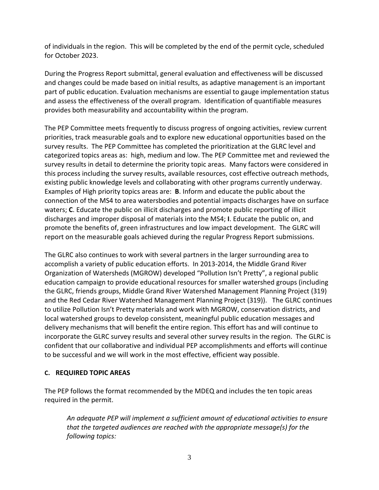of individuals in the region. This will be completed by the end of the permit cycle, scheduled for October 2023.

During the Progress Report submittal, general evaluation and effectiveness will be discussed and changes could be made based on initial results, as adaptive management is an important part of public education. Evaluation mechanisms are essential to gauge implementation status and assess the effectiveness of the overall program. Identification of quantifiable measures provides both measurability and accountability within the program.

The PEP Committee meets frequently to discuss progress of ongoing activities, review current priorities, track measurable goals and to explore new educational opportunities based on the survey results. The PEP Committee has completed the prioritization at the GLRC level and categorized topics areas as: high, medium and low. The PEP Committee met and reviewed the survey results in detail to determine the priority topic areas. Many factors were considered in this process including the survey results, available resources, cost effective outreach methods, existing public knowledge levels and collaborating with other programs currently underway. Examples of High priority topics areas are: **B**. Inform and educate the public about the connection of the MS4 to area watersbodies and potential impacts discharges have on surface waters; **C**. Educate the public on illicit discharges and promote public reporting of illicit discharges and improper disposal of materials into the MS4; **I**. Educate the public on, and promote the benefits of, green infrastructures and low impact development. The GLRC will report on the measurable goals achieved during the regular Progress Report submissions.

The GLRC also continues to work with several partners in the larger surrounding area to accomplish a variety of public education efforts. In 2013-2014, the Middle Grand River Organization of Watersheds (MGROW) developed "Pollution Isn't Pretty", a regional public education campaign to provide educational resources for smaller watershed groups (including the GLRC, friends groups, Middle Grand River Watershed Management Planning Project (319) and the Red Cedar River Watershed Management Planning Project (319)). The GLRC continues to utilize Pollution Isn't Pretty materials and work with MGROW, conservation districts, and local watershed groups to develop consistent, meaningful public education messages and delivery mechanisms that will benefit the entire region. This effort has and will continue to incorporate the GLRC survey results and several other survey results in the region. The GLRC is confident that our collaborative and individual PEP accomplishments and efforts will continue to be successful and we will work in the most effective, efficient way possible.

#### **C. REQUIRED TOPIC AREAS**

The PEP follows the format recommended by the MDEQ and includes the ten topic areas required in the permit.

*An adequate PEP will implement a sufficient amount of educational activities to ensure that the targeted audiences are reached with the appropriate message(s) for the following topics:*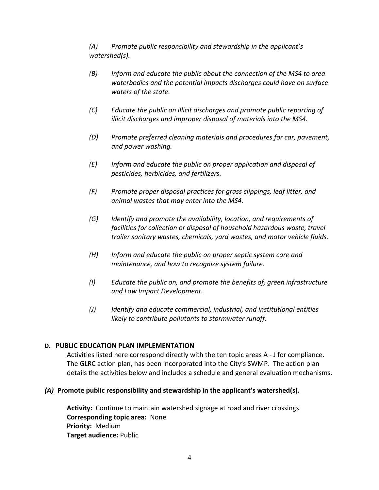*(A) Promote public responsibility and stewardship in the applicant's watershed(s).* 

- *(B) Inform and educate the public about the connection of the MS4 to area waterbodies and the potential impacts discharges could have on surface waters of the state.*
- *(C) Educate the public on illicit discharges and promote public reporting of illicit discharges and improper disposal of materials into the MS4.*
- *(D) Promote preferred cleaning materials and procedures for car, pavement, and power washing.*
- *(E) Inform and educate the public on proper application and disposal of pesticides, herbicides, and fertilizers.*
- *(F) Promote proper disposal practices for grass clippings, leaf litter, and animal wastes that may enter into the MS4.*
- *(G) Identify and promote the availability, location, and requirements of facilities for collection or disposal of household hazardous waste, travel trailer sanitary wastes, chemicals, yard wastes, and motor vehicle fluids.*
- *(H) Inform and educate the public on proper septic system care and maintenance, and how to recognize system failure.*
- *(I) Educate the public on, and promote the benefits of, green infrastructure and Low Impact Development.*
- *(J) Identify and educate commercial, industrial, and institutional entities likely to contribute pollutants to stormwater runoff.*

#### **D. PUBLIC EDUCATION PLAN IMPLEMENTATION**

Activities listed here correspond directly with the ten topic areas A - J for compliance. The GLRC action plan, has been incorporated into the City's SWMP. The action plan details the activities below and includes a schedule and general evaluation mechanisms.

#### *(A)* **Promote public responsibility and stewardship in the applicant's watershed(s).**

**Activity:** Continue to maintain watershed signage at road and river crossings. **Corresponding topic area:** None **Priority:** Medium **Target audience:** Public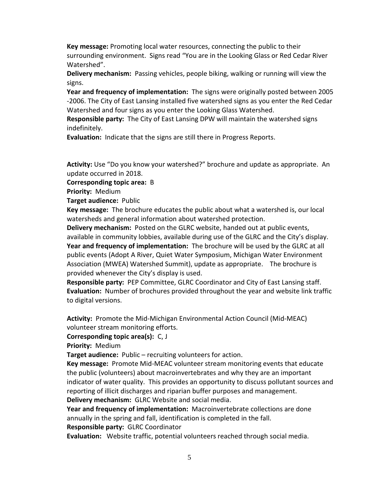**Key message:** Promoting local water resources, connecting the public to their surrounding environment. Signs read "You are in the Looking Glass or Red Cedar River Watershed".

**Delivery mechanism:** Passing vehicles, people biking, walking or running will view the signs.

**Year and frequency of implementation:** The signs were originally posted between 2005 -2006. The City of East Lansing installed five watershed signs as you enter the Red Cedar Watershed and four signs as you enter the Looking Glass Watershed.

**Responsible party:** The City of East Lansing DPW will maintain the watershed signs indefinitely.

**Evaluation:** Indicate that the signs are still there in Progress Reports.

**Activity:** Use "Do you know your watershed?" brochure and update as appropriate. An update occurred in 2018.

**Corresponding topic area:** B

**Priority:** Medium

**Target audience:** Public

**Key message:** The brochure educates the public about what a watershed is, our local watersheds and general information about watershed protection.

**Delivery mechanism:** Posted on the GLRC website, handed out at public events, available in community lobbies, available during use of the GLRC and the City's display. **Year and frequency of implementation:** The brochure will be used by the GLRC at all public events (Adopt A River, Quiet Water Symposium, Michigan Water Environment Association (MWEA) Watershed Summit), update as appropriate. The brochure is provided whenever the City's display is used.

**Responsible party:** PEP Committee, GLRC Coordinator and City of East Lansing staff. **Evaluation:** Number of brochures provided throughout the year and website link traffic to digital versions.

**Activity:** Promote the Mid-Michigan Environmental Action Council (Mid-MEAC) volunteer stream monitoring efforts.

**Corresponding topic area(s):** C, J

**Priority:** Medium

**Target audience:** Public – recruiting volunteers for action.

**Key message:** Promote Mid-MEAC volunteer stream monitoring events that educate the public (volunteers) about macroinvertebrates and why they are an important indicator of water quality. This provides an opportunity to discuss pollutant sources and reporting of illicit discharges and riparian buffer purposes and management. **Delivery mechanism:** GLRC Website and social media.

**Year and frequency of implementation:** Macroinvertebrate collections are done annually in the spring and fall, identification is completed in the fall.

**Responsible party:** GLRC Coordinator

**Evaluation:** Website traffic, potential volunteers reached through social media.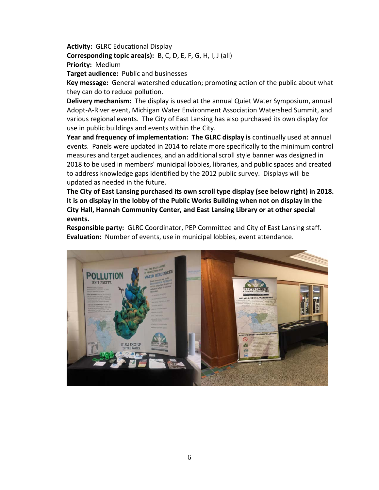**Activity:** GLRC Educational Display

**Corresponding topic area(s):** B, C, D, E, F, G, H, I, J (all) **Priority:** Medium

**Target audience:** Public and businesses

**Key message:** General watershed education; promoting action of the public about what they can do to reduce pollution.

**Delivery mechanism:** The display is used at the annual Quiet Water Symposium, annual Adopt-A-River event, Michigan Water Environment Association Watershed Summit, and various regional events. The City of East Lansing has also purchased its own display for use in public buildings and events within the City.

**Year and frequency of implementation: The GLRC display is** continually used at annual events. Panels were updated in 2014 to relate more specifically to the minimum control measures and target audiences, and an additional scroll style banner was designed in 2018 to be used in members' municipal lobbies, libraries, and public spaces and created to address knowledge gaps identified by the 2012 public survey. Displays will be updated as needed in the future.

**The City of East Lansing purchased its own scroll type display (see below right) in 2018. It is on display in the lobby of the Public Works Building when not on display in the City Hall, Hannah Community Center, and East Lansing Library or at other special events.**

**Responsible party:** GLRC Coordinator, PEP Committee and City of East Lansing staff. **Evaluation:** Number of events, use in municipal lobbies, event attendance.

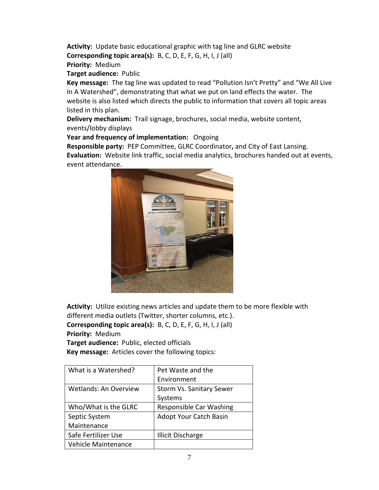**Activity:** Update basic educational graphic with tag line and GLRC website **Corresponding topic area(s):** B, C, D, E, F, G, H, I, J (all) **Priority:** Medium

**Target audience:** Public

**Key message:** The tag line was updated to read "Pollution Isn't Pretty" and "We All Live In A Watershed", demonstrating that what we put on land effects the water. The website is also listed which directs the public to information that covers all topic areas listed in this plan.

**Delivery mechanism:** Trail signage, brochures, social media, website content, events/lobby displays

**Year and frequency of implementation:** Ongoing

**Responsible party:** PEP Committee, GLRC Coordinator**,** and City of East Lansing. **Evaluation:** Website link traffic, social media analytics, brochures handed out at events, event attendance.



**Activity:** Utilize existing news articles and update them to be more flexible with different media outlets (Twitter, shorter columns, etc.). **Corresponding topic area(s):** B, C, D, E, F, G, H, I, J (all) **Priority:** Medium **Target audience:** Public, elected officials

**Key message:** Articles cover the following topics:

| What is a Watershed?         | Pet Waste and the             |
|------------------------------|-------------------------------|
|                              | Environment                   |
| <b>Wetlands: An Overview</b> | Storm Vs. Sanitary Sewer      |
|                              | Systems                       |
| Who/What is the GLRC         | Responsible Car Washing       |
| Septic System                | <b>Adopt Your Catch Basin</b> |
| Maintenance                  |                               |
| Safe Fertilizer Use          | <b>Illicit Discharge</b>      |
| Vehicle Maintenance          |                               |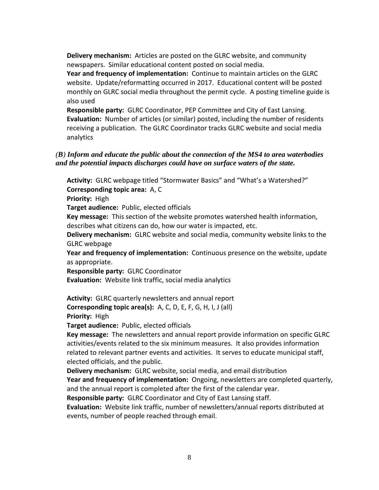**Delivery mechanism:** Articles are posted on the GLRC website, and community newspapers. Similar educational content posted on social media.

**Year and frequency of implementation:** Continue to maintain articles on the GLRC website. Update/reformatting occurred in 2017. Educational content will be posted monthly on GLRC social media throughout the permit cycle. A posting timeline guide is also used

**Responsible party:** GLRC Coordinator, PEP Committee and City of East Lansing. **Evaluation:** Number of articles (or similar) posted, including the number of residents receiving a publication. The GLRC Coordinator tracks GLRC website and social media analytics

#### *(B) Inform and educate the public about the connection of the MS4 to area waterbodies and the potential impacts discharges could have on surface waters of the state.*

**Activity:** GLRC webpage titled "Stormwater Basics" and "What's a Watershed?" **Corresponding topic area:** A, C

**Priority:** High

**Target audience:** Public, elected officials

**Key message:** This section of the website promotes watershed health information, describes what citizens can do, how our water is impacted, etc.

**Delivery mechanism:** GLRC website and social media, community website links to the GLRC webpage

**Year and frequency of implementation:** Continuous presence on the website, update as appropriate.

**Responsible party:** GLRC Coordinator

**Evaluation:** Website link traffic, social media analytics

**Activity:** GLRC quarterly newsletters and annual report

**Corresponding topic area(s):** A, C, D, E, F, G, H, I, J (all)

**Priority:** High

**Target audience:** Public, elected officials

**Key message:** The newsletters and annual report provide information on specific GLRC activities/events related to the six minimum measures. It also provides information related to relevant partner events and activities. It serves to educate municipal staff, elected officials, and the public.

**Delivery mechanism:** GLRC website, social media, and email distribution

**Year and frequency of implementation:** Ongoing, newsletters are completed quarterly, and the annual report is completed after the first of the calendar year.

**Responsible party:** GLRC Coordinator and City of East Lansing staff.

**Evaluation:** Website link traffic, number of newsletters/annual reports distributed at events, number of people reached through email.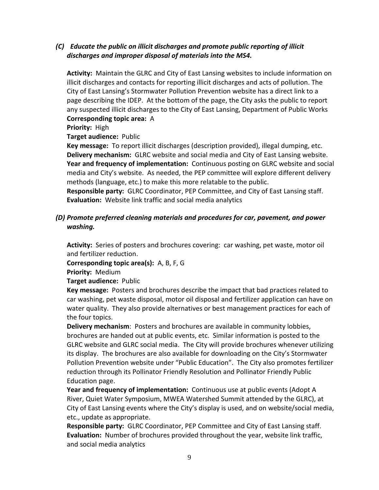## *(C) Educate the public on illicit discharges and promote public reporting of illicit discharges and improper disposal of materials into the MS4.*

**Activity:** Maintain the GLRC and City of East Lansing websites to include information on illicit discharges and contacts for reporting illicit discharges and acts of pollution. The City of East Lansing's Stormwater Pollution Prevention website has a direct link to a page describing the IDEP. At the bottom of the page, the City asks the public to report any suspected illicit discharges to the City of East Lansing, Department of Public Works

## **Corresponding topic area:** A

**Priority:** High

**Target audience:** Public

**Key message:** To report illicit discharges (description provided), illegal dumping, etc. **Delivery mechanism:** GLRC website and social media and City of East Lansing website. **Year and frequency of implementation:** Continuous posting on GLRC website and social media and City's website. As needed, the PEP committee will explore different delivery methods (language, etc.) to make this more relatable to the public.

**Responsible party:** GLRC Coordinator, PEP Committee, and City of East Lansing staff. **Evaluation:** Website link traffic and social media analytics

## *(D) Promote preferred cleaning materials and procedures for car, pavement, and power washing.*

**Activity:** Series of posters and brochures covering: car washing, pet waste, motor oil and fertilizer reduction.

**Corresponding topic area(s):** A, B, F, G

**Priority:** Medium

#### **Target audience:** Public

**Key message:** Posters and brochures describe the impact that bad practices related to car washing, pet waste disposal, motor oil disposal and fertilizer application can have on water quality. They also provide alternatives or best management practices for each of the four topics.

**Delivery mechanism**: Posters and brochures are available in community lobbies, brochures are handed out at public events, etc. Similar information is posted to the GLRC website and GLRC social media. The City will provide brochures whenever utilizing its display. The brochures are also available for downloading on the City's Stormwater Pollution Prevention website under "Public Education". The City also promotes fertilizer reduction through its Pollinator Friendly Resolution and Pollinator Friendly Public Education page.

**Year and frequency of implementation:** Continuous use at public events (Adopt A River, Quiet Water Symposium, MWEA Watershed Summit attended by the GLRC), at City of East Lansing events where the City's display is used, and on website/social media, etc., update as appropriate.

**Responsible party:** GLRC Coordinator, PEP Committee and City of East Lansing staff. **Evaluation:** Number of brochures provided throughout the year, website link traffic, and social media analytics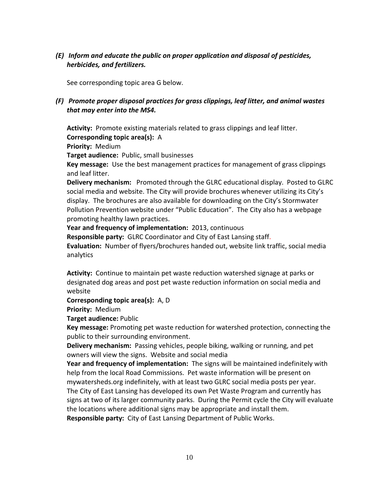*(E) Inform and educate the public on proper application and disposal of pesticides, herbicides, and fertilizers.* 

See corresponding topic area G below.

## *(F) Promote proper disposal practices for grass clippings, leaf litter, and animal wastes that may enter into the MS4.*

**Activity:** Promote existing materials related to grass clippings and leaf litter. **Corresponding topic area(s):** A

**Priority:** Medium

**Target audience:** Public, small businesses

**Key message:** Use the best management practices for management of grass clippings and leaf litter.

**Delivery mechanism:** Promoted through the GLRC educational display. Posted to GLRC social media and website. The City will provide brochures whenever utilizing its City's display. The brochures are also available for downloading on the City's Stormwater Pollution Prevention website under "Public Education". The City also has a webpage promoting healthy lawn practices.

**Year and frequency of implementation:** 2013, continuous

**Responsible party:** GLRC Coordinator and City of East Lansing staff.

**Evaluation:** Number of flyers/brochures handed out, website link traffic, social media analytics

**Activity:** Continue to maintain pet waste reduction watershed signage at parks or designated dog areas and post pet waste reduction information on social media and website

**Corresponding topic area(s):** A, D

**Priority:** Medium

**Target audience:** Public

**Key message:** Promoting pet waste reduction for watershed protection, connecting the public to their surrounding environment.

**Delivery mechanism:** Passing vehicles, people biking, walking or running, and pet owners will view the signs. Website and social media

**Year and frequency of implementation:** The signs will be maintained indefinitely with help from the local Road Commissions. Pet waste information will be present on mywatersheds.org indefinitely, with at least two GLRC social media posts per year.

The City of East Lansing has developed its own Pet Waste Program and currently has signs at two of its larger community parks. During the Permit cycle the City will evaluate the locations where additional signs may be appropriate and install them. **Responsible party:** City of East Lansing Department of Public Works.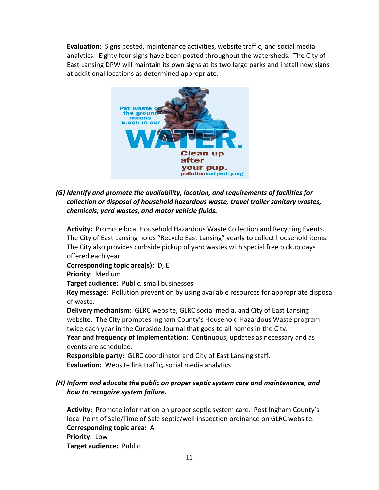**Evaluation:** Signs posted, maintenance activities, website traffic, and social media analytics. Eighty four signs have been posted throughout the watersheds. The City of East Lansing DPW will maintain its own signs at its two large parks and install new signs at additional locations as determined appropriate.



*(G) Identify and promote the availability, location, and requirements of facilities for collection or disposal of household hazardous waste, travel trailer sanitary wastes, chemicals, yard wastes, and motor vehicle fluids.*

**Activity:** Promote local Household Hazardous Waste Collection and Recycling Events. The City of East Lansing holds "Recycle East Lansing" yearly to collect household items. The City also provides curbside pickup of yard wastes with special free pickup days offered each year.

**Corresponding topic area(s):** D, E **Priority:** Medium

**Target audience:** Public, small businesses

**Key message**: Pollution prevention by using available resources for appropriate disposal of waste.

**Delivery mechanism:** GLRC website, GLRC social media, and City of East Lansing website.The City promotes Ingham County's Household Hazardous Waste program twice each year in the Curbside Journal that goes to all homes in the City.

**Year and frequency of implementation:** Continuous, updates as necessary and as events are scheduled.

**Responsible party:** GLRC coordinator and City of East Lansing staff. **Evaluation:** Website link traffic**,** social media analytics

## *(H) Inform and educate the public on proper septic system care and maintenance, and how to recognize system failure.*

**Activity:** Promote information on proper septic system care. Post Ingham County's local Point of Sale/Time of Sale septic/well inspection ordinance on GLRC website. **Corresponding topic area:** A **Priority:** Low **Target audience:** Public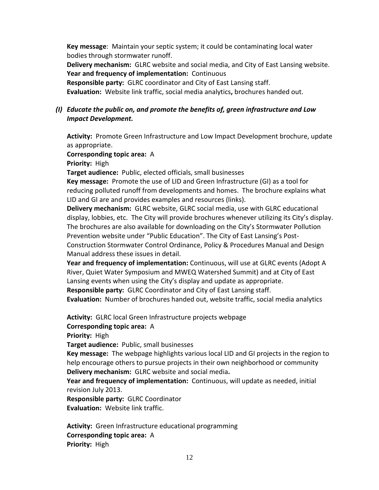**Key message**: Maintain your septic system; it could be contaminating local water bodies through stormwater runoff.

**Delivery mechanism:** GLRC website and social media, and City of East Lansing website. **Year and frequency of implementation:** Continuous

**Responsible party:** GLRC coordinator and City of East Lansing staff.

**Evaluation:** Website link traffic, social media analytics**,** brochures handed out.

## *(I) Educate the public on, and promote the benefits of, green infrastructure and Low Impact Development.*

**Activity:** Promote Green Infrastructure and Low Impact Development brochure, update as appropriate.

**Corresponding topic area:** A

**Priority:** High

**Target audience:** Public, elected officials, small businesses

**Key message:** Promote the use of LID and Green Infrastructure (GI) as a tool for reducing polluted runoff from developments and homes. The brochure explains what LID and GI are and provides examples and resources (links).

**Delivery mechanism:** GLRC website, GLRC social media, use with GLRC educational display, lobbies, etc. The City will provide brochures whenever utilizing its City's display. The brochures are also available for downloading on the City's Stormwater Pollution Prevention website under "Public Education". The City of East Lansing's Post-Construction Stormwater Control Ordinance, Policy & Procedures Manual and Design Manual address these issues in detail.

**Year and frequency of implementation:** Continuous, will use at GLRC events (Adopt A River, Quiet Water Symposium and MWEQ Watershed Summit) and at City of East Lansing events when using the City's display and update as appropriate.

**Responsible party:** GLRC Coordinator and City of East Lansing staff.

**Evaluation:** Number of brochures handed out, website traffic, social media analytics

**Activity:** GLRC local Green Infrastructure projects webpage

**Corresponding topic area:** A

**Priority:** High

**Target audience:** Public, small businesses

**Key message:** The webpage highlights various local LID and GI projects in the region to help encourage others to pursue projects in their own neighborhood or community **Delivery mechanism:** GLRC website and social media**.**

**Year and frequency of implementation:** Continuous, will update as needed, initial revision July 2013.

**Responsible party:** GLRC Coordinator **Evaluation:** Website link traffic.

**Activity:** Green Infrastructure educational programming **Corresponding topic area:** A **Priority:** High